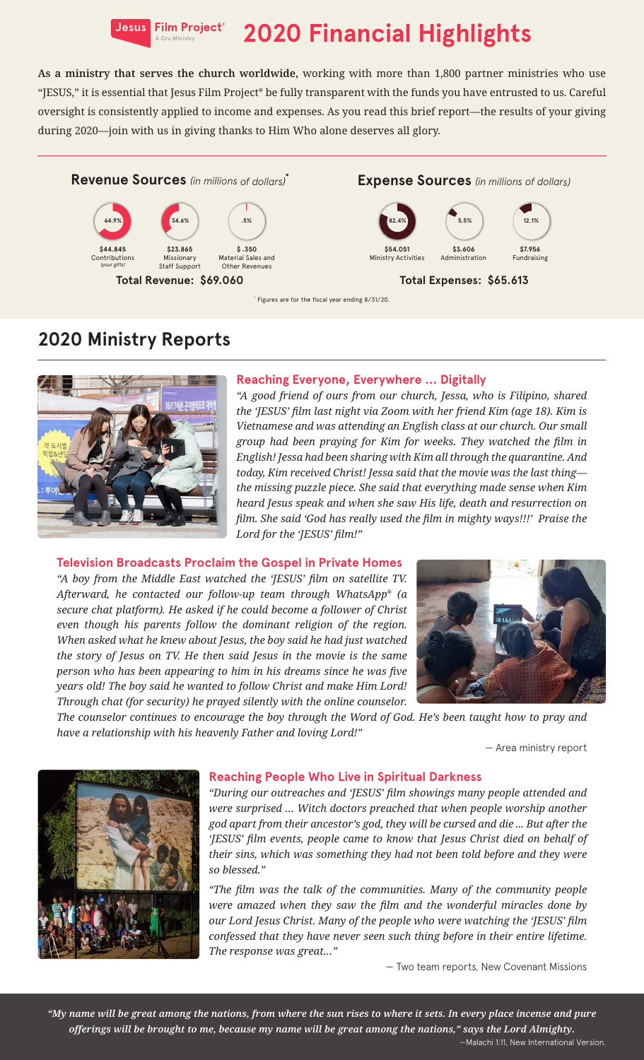

# **Jesus Film Project** 2020 Financial Highlights

**As a ministry that serves the church worldwide,** working with more than 1,800 partner ministries who use "JESUS," it is essential that Jesus Film Project® be fully transparent with the funds you have entrusted to us. Careful oversight is consistently applied to income and expenses. As you read this brief report—the results of your giving during 2020—join with us in giving thanks to Him Who alone deserves all glory.





#### **Total Revenue: \$69.060 Total Expenses: \$65.613**

\* Figures are for the fiscal year ending 8/31/20.

### **2020 Ministry Reports**



#### **Reaching Everyone, Everywhere … Digitally**

*"A good friend of ours from our church, Jessa, who is Filipino, shared the 'JESUS' film last night via Zoom with her friend Kim (age 18). Kim is Vietnamese and was attending an English class at our church. Our small group had been praying for Kim for weeks. They watched the film in English! Jessa had been sharing with Kim all through the quarantine. And today, Kim received Christ! Jessa said that the movie was the last thing the missing puzzle piece. She said that everything made sense when Kim heard Jesus speak and when she saw His life, death and resurrection on film. She said 'God has really used the film in mighty ways!!!' Praise the Lord for the 'JESUS' film!"*

#### **Television Broadcasts Proclaim the Gospel in Private Homes**

*"A boy from the Middle East watched the 'JESUS' film on satellite TV. Afterward, he contacted our follow-up team through WhatsApp® (a secure chat platform). He asked if he could become a follower of Christ even though his parents follow the dominant religion of the region. When asked what he knew about Jesus, the boy said he had just watched the story of Jesus on TV. He then said Jesus in the movie is the same person who has been appearing to him in his dreams since he was five years old! The boy said he wanted to follow Christ and make Him Lord! Through chat (for security) he prayed silently with the online counselor.* 



*The counselor continues to encourage the boy through the Word of God. He's been taught how to pray and have a relationship with his heavenly Father and loving Lord!"*

— Area ministry report



#### **Reaching People Who Live in Spiritual Darkness**

*"During our outreaches and 'JESUS' film showings many people attended and were surprised … Witch doctors preached that when people worship another god apart from their ancestor's god, they will be cursed and die ... But after the 'JESUS' film events, people came to know that Jesus Christ died on behalf of their sins, which was something they had not been told before and they were so blessed."*

*"The film was the talk of the communities. Many of the community people were amazed when they saw the film and the wonderful miracles done by our Lord Jesus Christ. Many of the people who were watching the 'JESUS' film confessed that they have never seen such thing before in their entire lifetime. The response was great…"*

— Two team reports, New Covenant Missions

*"My name will be great among the nations, from where the sun rises to where it sets. In every place incense and pure offerings will be brought to me, because my name will be great among the nations," says the Lord Almighty.* —Malachi 1:11, New International Version.